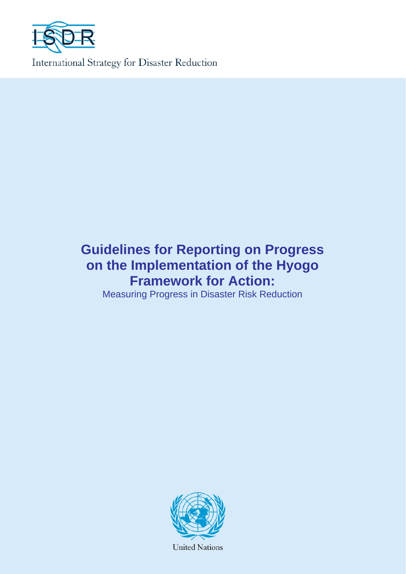

# **Guidelines for Reporting on Progress on the Implementation of the Hyogo Framework for Action:**

Measuring Progress in Disaster Risk Reduction



**United Nations**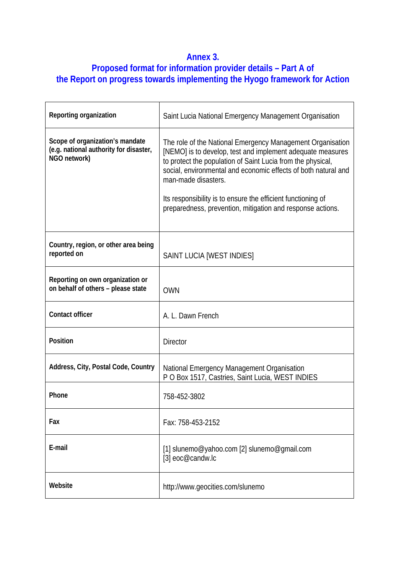# **Annex 3.**

# **Proposed format for information provider details – Part A of the Report on progress towards implementing the Hyogo framework for Action**

| Reporting organization                                                                    | Saint Lucia National Emergency Management Organisation                                                                                                                                                                                                                                                                                                                                                         |
|-------------------------------------------------------------------------------------------|----------------------------------------------------------------------------------------------------------------------------------------------------------------------------------------------------------------------------------------------------------------------------------------------------------------------------------------------------------------------------------------------------------------|
| Scope of organization's mandate<br>(e.g. national authority for disaster,<br>NGO network) | The role of the National Emergency Management Organisation<br>[NEMO] is to develop, test and implement adequate measures<br>to protect the population of Saint Lucia from the physical,<br>social, environmental and economic effects of both natural and<br>man-made disasters.<br>Its responsibility is to ensure the efficient functioning of<br>preparedness, prevention, mitigation and response actions. |
| Country, region, or other area being<br>reported on                                       | SAINT LUCIA [WEST INDIES]                                                                                                                                                                                                                                                                                                                                                                                      |
| Reporting on own organization or<br>on behalf of others - please state                    | <b>OWN</b>                                                                                                                                                                                                                                                                                                                                                                                                     |
| <b>Contact officer</b>                                                                    | A. L. Dawn French                                                                                                                                                                                                                                                                                                                                                                                              |
| <b>Position</b>                                                                           | <b>Director</b>                                                                                                                                                                                                                                                                                                                                                                                                |
|                                                                                           |                                                                                                                                                                                                                                                                                                                                                                                                                |
| Address, City, Postal Code, Country                                                       | National Emergency Management Organisation<br>P O Box 1517, Castries, Saint Lucia, WEST INDIES                                                                                                                                                                                                                                                                                                                 |
| Phone                                                                                     | 758-452-3802                                                                                                                                                                                                                                                                                                                                                                                                   |
| Fax                                                                                       | Fax: 758-453-2152                                                                                                                                                                                                                                                                                                                                                                                              |
| E-mail                                                                                    | [1] slunemo@yahoo.com [2] slunemo@gmail.com<br>[3] eoc@candw.lc                                                                                                                                                                                                                                                                                                                                                |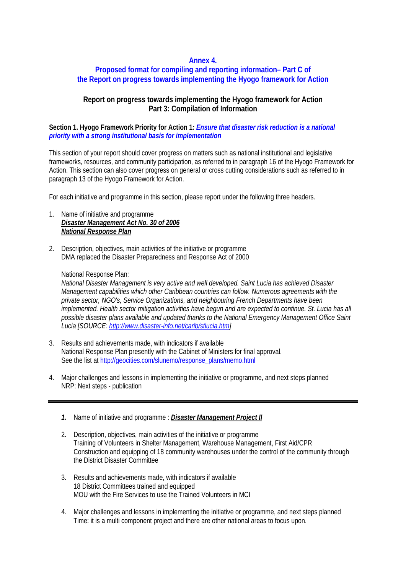## **Annex 4.**

## **Proposed format for compiling and reporting information– Part C of the Report on progress towards implementing the Hyogo framework for Action**

# **Report on progress towards implementing the Hyogo framework for Action Part 3: Compilation of Information**

#### **Section 1. Hyogo Framework Priority for Action 1***: Ensure that disaster risk reduction is a national priority with a strong institutional basis for implementation*

This section of your report should cover progress on matters such as national institutional and legislative frameworks, resources, and community participation, as referred to in paragraph 16 of the Hyogo Framework for Action. This section can also cover progress on general or cross cutting considerations such as referred to in paragraph 13 of the Hyogo Framework for Action.

For each initiative and programme in this section, please report under the following three headers.

- 1. Name of initiative and programme *Disaster Management Act No. 30 of 2006 National Response Plan*
- 2. Description, objectives, main activities of the initiative or programme DMA replaced the Disaster Preparedness and Response Act of 2000

#### National Response Plan:

*National Disaster Management is very active and well developed. Saint Lucia has achieved Disaster Management capabilities which other Caribbean countries can follow. Numerous agreements with the private sector, NGO's, Service Organizations, and neighbouring French Departments have been implemented. Health sector mitigation activities have begun and are expected to continue. St. Lucia has all possible disaster plans available and updated thanks to the National Emergency Management Office Saint Lucia [SOURCE: http://www.disaster-info.net/carib/stlucia.htm]*

- 3. Results and achievements made, with indicators if available National Response Plan presently with the Cabinet of Ministers for final approval. See the list at http://geocities.com/slunemo/response\_plans/memo.html
- 4. Major challenges and lessons in implementing the initiative or programme, and next steps planned NRP: Next steps - publication
	- *1.* Name of initiative and programme : *Disaster Management Project II*
	- 2. Description, objectives, main activities of the initiative or programme Training of Volunteers in Shelter Management, Warehouse Management, First Aid/CPR Construction and equipping of 18 community warehouses under the control of the community through the District Disaster Committee
	- 3. Results and achievements made, with indicators if available 18 District Committees trained and equipped MOU with the Fire Services to use the Trained Volunteers in MCI
	- 4. Major challenges and lessons in implementing the initiative or programme, and next steps planned Time: it is a multi component project and there are other national areas to focus upon.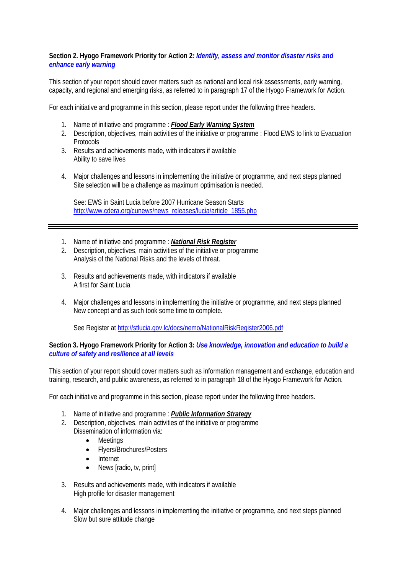#### **Section 2. Hyogo Framework Priority for Action 2***: Identify, assess and monitor disaster risks and enhance early warning*

This section of your report should cover matters such as national and local risk assessments, early warning, capacity, and regional and emerging risks, as referred to in paragraph 17 of the Hyogo Framework for Action.

For each initiative and programme in this section, please report under the following three headers.

- 1. Name of initiative and programme : *Flood Early Warning System*
- 2. Description, objectives, main activities of the initiative or programme : Flood EWS to link to Evacuation **Protocols**
- 3. Results and achievements made, with indicators if available Ability to save lives
- 4. Major challenges and lessons in implementing the initiative or programme, and next steps planned Site selection will be a challenge as maximum optimisation is needed.

See: EWS in Saint Lucia before 2007 Hurricane Season Starts http://www.cdera.org/cunews/news\_releases/lucia/article\_1855.php

- 1. Name of initiative and programme : *National Risk Register*
- 2. Description, objectives, main activities of the initiative or programme Analysis of the National Risks and the levels of threat.
- 3. Results and achievements made, with indicators if available A first for Saint Lucia
- 4. Major challenges and lessons in implementing the initiative or programme, and next steps planned New concept and as such took some time to complete.

See Register at http://stlucia.gov.lc/docs/nemo/NationalRiskRegister2006.pdf

#### **Section 3. Hyogo Framework Priority for Action 3:** *Use knowledge, innovation and education to build a culture of safety and resilience at all levels*

This section of your report should cover matters such as information management and exchange, education and training, research, and public awareness, as referred to in paragraph 18 of the Hyogo Framework for Action.

For each initiative and programme in this section, please report under the following three headers.

- 1. Name of initiative and programme : *Public Information Strategy*
- 2. Description, objectives, main activities of the initiative or programme Dissemination of information via:
	- Meetings
	- Flyers/Brochures/Posters
	- **Internet**
	- News [radio, tv, print]
- 3. Results and achievements made, with indicators if available High profile for disaster management
- 4. Major challenges and lessons in implementing the initiative or programme, and next steps planned Slow but sure attitude change